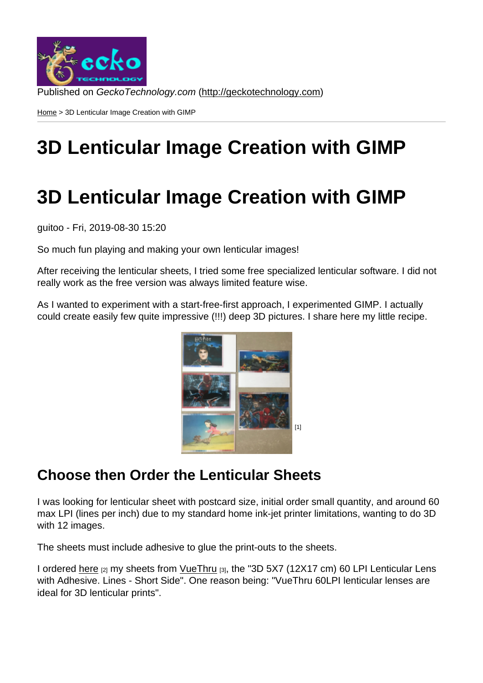Home > 3D Lenticular Image Creation with GIMP

# [3D](http://geckotechnology.com/) Lenticular Image Creation with GIMP

## 3D Lenticular Image Creation with GIMP

guitoo - Fri, 2019-08-30 15:20

So much fun playing and making your own lenticular images!

After receiving the lenticular sheets, I tried some free specialized lenticular software. I did not really work as the free version was always limited feature wise.

As I wanted to experiment with a start-free-first approach, I experimented GIMP. I actually could create easily few quite impressive (!!!) deep 3D pictures. I share here my little recipe.

[1]

#### Choose then Order th[e Lenticular Sheet](http://geckotechnology.com/sites/default/files/MyLenticularImages.png)s

I was looking for lenticular sheet with postcard size, initial order small quantity, and around 60 max LPI (lines per inch) due to my standard home ink-jet printer limitations, wanting to do 3D with 12 images.

The sheets must include adhesive to glue the print-outs to the sheets.

I ordered here [2] my sheets from VueThru [3], the "3D 5X7 (12X17 cm) 60 LPI Lenticular Lens with Adhesive. Lines - Short Side". One reason being: "VueThru 60LPI lenticular lenses are ideal for 3D lenticular prints".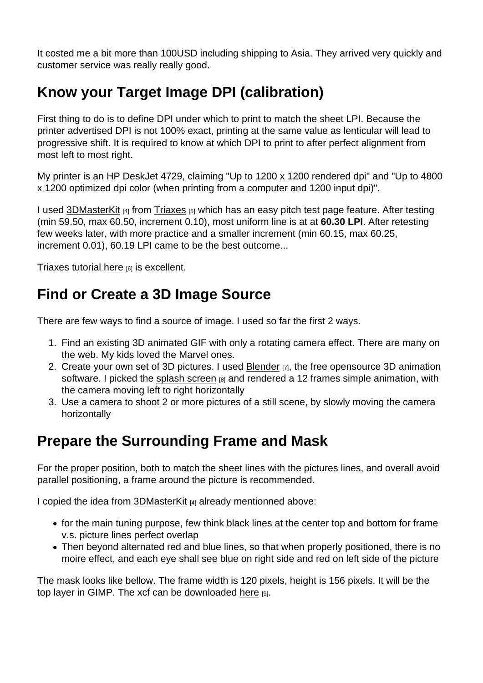It costed me a bit more than 100USD including shipping to Asia. They arrived very quickly and customer service was really really good.

## Know your Target Image DPI (calibration)

First thing to do is to define DPI under which to print to match the sheet LPI. Because the printer advertised DPI is not 100% exact, printing at the same value as lenticular will lead to progressive shift. It is required to know at which DPI to print to after perfect alignment from most left to most right.

My printer is an HP DeskJet 4729, claiming "Up to 1200 x 1200 rendered dpi" and "Up to 4800 x 1200 optimized dpi color (when printing from a computer and 1200 input dpi)".

I used 3DMasterKit [4] from Triaxes [5] which has an easy pitch test page feature. After testing (min 59.50, max 60.50, increment 0.10), most uniform line is at at 60.30 LPI. After retesting few weeks later, with more practice and a smaller increment (min 60.15, max 60.25, incre[ment 0.01\), 60](https://triaxes.com/products/3d-software/3dmasterkit/).19 LPI [came to](https://triaxes.com/) be the best outcome...

Triaxes tutorial here  $[6]$  is excellent.

### Find or Cr[eate](https://www.youtube.com/watch?v=4pUIixvdLTE) a 3D Image Source

There are few ways to find a source of image. I used so far the first 2 ways.

- 1. Find an existing 3D animated GIF with only a rotating camera effect. There are many on the web. My kids loved the Marvel ones.
- 2. Create your own set of 3D pictures. I used Blender [7], the free opensource 3D animation software. I picked the splash screen  $_{[8]}$  and rendered a 12 frames simple animation, with the camera moving left to right horizontally
- 3. Use a camera to shoot 2 or more pictures [of a still s](https://www.blender.org)cene, by slowly moving the camera horizontally

## Prepare the Surrounding Frame and Mask

For the proper position, both to match the sheet lines with the pictures lines, and overall avoid parallel positioning, a frame around the picture is recommended.

I copied the idea from 3DMasterKit [4] already mentionned above:

- for the main tuning purpose, few think black lines at the center top and bottom for frame v.s. picture lines perfect overlap
- Then beyond alt[ernated red a](https://triaxes.com/products/3d-software/3dmasterkit/)nd blue lines, so that when properly positioned, there is no moire effect, and each eye shall see blue on right side and red on left side of the picture

The mask looks like bellow. The frame width is 120 pixels, height is 156 pixels. It will be the top layer in GIMP. The xcf can be downloaded here [9].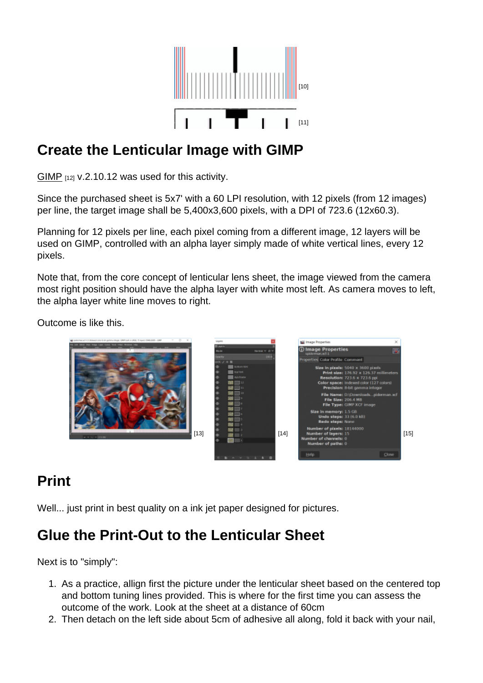#### Create the Lenticular [Image with GIMP](http://geckotechnology.com/sites/default/files/border2.png)

GIMP [12] v.2.10.12 was used for this activity.

Since the purchased sheet is 5x7' with a 60 LPI resolution, with 12 pixels (from 12 images) [per lin](https://www.gimp.org/)e, the target image shall be 5,400x3,600 pixels, with a DPI of 723.6 (12x60.3).

Planning for 12 pixels per line, each pixel coming from a different image, 12 layers will be used on GIMP, controlled with an alpha layer simply made of white vertical lines, every 12 pixels.

Note that, from the core concept of lenticular lens sheet, the image viewed from the camera most right position should have the alpha layer with white most left. As camera moves to left, the alpha layer white line moves to right.

Outcome is like this.

 $[13]$  [14] [15]

#### Print

Well... just print in best quality on a ink jet paper designed for pictures.

#### Glue the Print-Out to the Lenticular Sheet

Next is to "simply":

- 1. As a practice, allign first the picture under the lenticular sheet based on the centered top and bottom tuning lines provided. This is where for the first time you can assess the outcome of the work. Look at the sheet at a distance of 60cm
- 2. Then detach on the left side about 5cm of adhesive all along, fold it back with your nail,

[11]